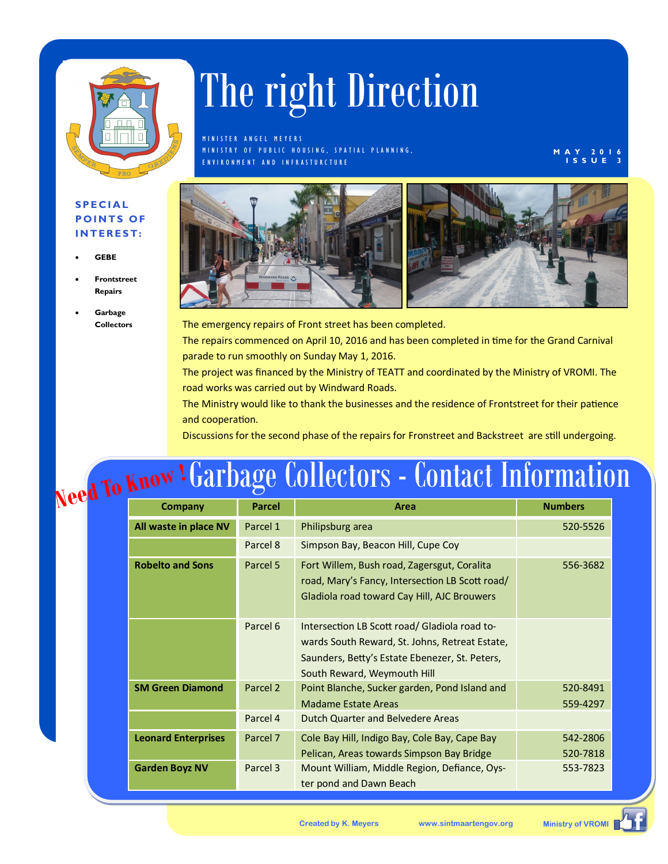

## The right Direction

M IN ISTER ANGEL MEYERS M IN ISTRY OF PUBLIC HOUSING, SPATIAL PLANNING, E N V I R O N M E N T A N D I N F R A S T U R C T U R E

**M A Y 2 0 1 6 I S S U E 3**

## **S P E C I A L POINTS OF I N T E R E S T :**

- **GEBE**
- **Frontstreet Repairs**
- **Garbage Collectors**



The emergency repairs of Front street has been completed. The repairs commenced on April 10, 2016 and has been completed in time for the Grand Carnival parade to run smoothly on Sunday May 1, 2016.

The project was financed by the Ministry of TEATT and coordinated by the Ministry of VROMI. The road works was carried out by Windward Roads.

The Ministry would like to thank the businesses and the residence of Frontstreet for their patience and cooperation.

Discussions for the second phase of the repairs for Fronstreet and Backstreet are still undergoing.

## **Need To Know ! Garbage Collectors - Contact Informa** Garbage Collectors - Contact Information

| Company                    | <b>Parcel</b>       | Area                                                                                                                                                                             | <b>Numbers</b>       |
|----------------------------|---------------------|----------------------------------------------------------------------------------------------------------------------------------------------------------------------------------|----------------------|
| All waste in place NV      | Parcel 1            | Philipsburg area                                                                                                                                                                 | 520-5526             |
|                            | Parcel 8            | Simpson Bay, Beacon Hill, Cupe Coy                                                                                                                                               |                      |
| <b>Robelto and Sons</b>    | Parcel 5            | Fort Willem, Bush road, Zagersgut, Coralita<br>road, Mary's Fancy, Intersection LB Scott road/<br>Gladiola road toward Cay Hill, AJC Brouwers                                    | 556-3682             |
|                            | Parcel 6            | Intersection LB Scott road/ Gladiola road to-<br>wards South Reward, St. Johns, Retreat Estate,<br>Saunders, Betty's Estate Ebenezer, St. Peters,<br>South Reward, Weymouth Hill |                      |
| <b>SM Green Diamond</b>    | Parcel <sub>2</sub> | Point Blanche, Sucker garden, Pond Island and<br><b>Madame Estate Areas</b>                                                                                                      | 520-8491<br>559-4297 |
|                            | Parcel 4            | Dutch Quarter and Belvedere Areas                                                                                                                                                |                      |
| <b>Leonard Enterprises</b> | Parcel 7            | Cole Bay Hill, Indigo Bay, Cole Bay, Cape Bay<br>Pelican, Areas towards Simpson Bay Bridge                                                                                       | 542-2806<br>520-7818 |
| <b>Garden Boyz NV</b>      | Parcel 3            | Mount William, Middle Region, Defiance, Oys-<br>ter pond and Dawn Beach                                                                                                          | 553-7823             |